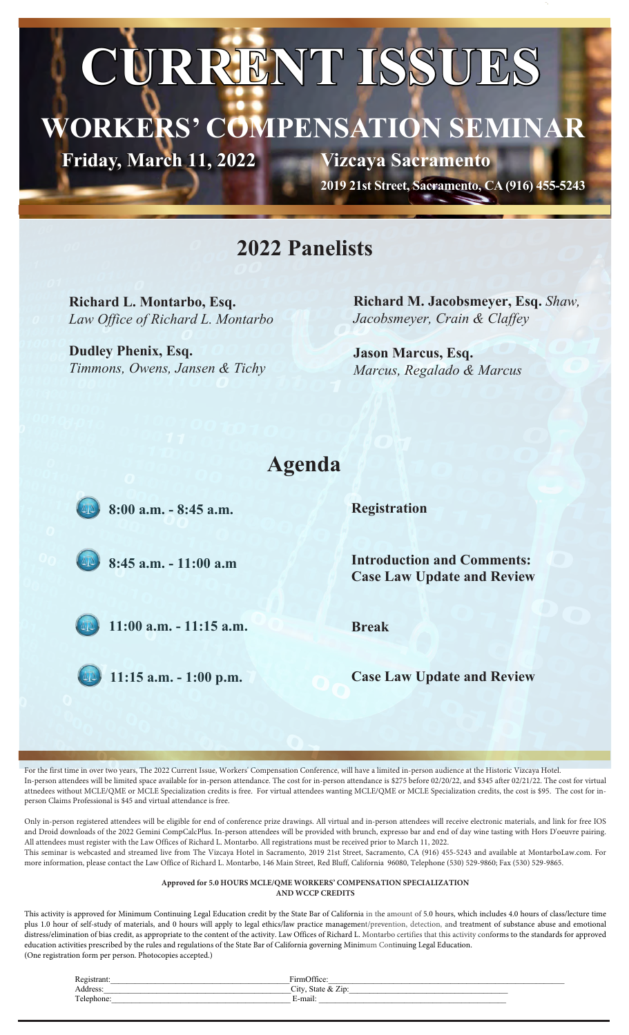# **CURRENT ISSUES**

## **WORKERS' COMPENSATION SEMINAR**

Friday, March 11, 2022

**Vizcaya Sacramento**

**2019 21st Street, Sacramento, CA (916) 455-5243**

#### **2022 Panelists**

**Richard L. Montarbo, Esq.** *Law Office of Richard L. Montarbo*

**Dudley Phenix, Esq.** *Timmons, Owens, Jansen & Tichy* **Richard M. Jacobsmeyer, Esq.** *Shaw, Jacobsmeyer, Crain & Claffey*

**Jason Marcus, Esq.** *Marcus, Regalado & Marcus*

#### **Agenda**

8:00 a.m. - 8:45 a.m.

**Registration**

 $8:45$  a.m.  $-11:00$  a.m

 $11:00$  a.m.  $-11:15$  a.m.

 $11:15$  a.m.  $-1:00$  p.m.

**Introduction and Comments: Case Law Update and Review**

**Break**

**Case Law Update and Review**

For the first time in over two years, The 2022 Current Issue, Workers' Compensation Conference, will have a limited in-person audience at the Historic Vizcaya Hotel. In-person attendees will be limited space available for in-person attendance. The cost for in-person attendance is \$275 before 02/20/22, and \$345 after 02/21/22. The cost for virtual attnedees without MCLE/QME or MCLE Specialization credits is free. For virtual attendees wanting MCLE/QME or MCLE Specialization credits, the cost is \$95. The cost for inperson Claims Professional is \$45 and virtual attendance is free.

Only in-person registered attendees will be eligible for end of conference prize drawings. All virtual and in-person attendees will receive electronic materials, and link for free IOS and Droid downloads of the 2022 Gemini CompCalcPlus. In-person attendees will be provided with brunch, expresso bar and end of day wine tasting with Hors D'oeuvre pairing. All attendees must register with the Law Offices of Richard L. Montarbo. All registrations must be received prior to March 11, 2022. This seminar is webcasted and streamed live from The Vizcaya Hotel in Sacramento, 2019 21st Street, Sacramento, CA (916) 455-5243 and available at MontarboLaw.com. For more information, please contact the Law Office of Richard L. Montarbo, 146 Main Street, Red Bluff, California 96080, Telephone (530) 529-9860; Fax (530) 529-9865.

#### **Approved for 5.0 HOURS MCLE/QME WORKERS' COMPENSATION SPECIALIZATION AND WCCP CREDITS**

This activity is approved for Minimum Continuing Legal Education credit by the State Bar of California in the amount of 5.0 hours, which includes 4.0 hours of class/lecture time plus 1.0 hour of self-study of materials, and 0 hours will apply to legal ethics/law practice management/prevention, detection, and treatment of substance abuse and emotional distress/elimination of bias credit, as appropriate to the content of the activity. Law Offices of Richard L. Montarbo certifies that this activity conforms to the standards for approved education activities prescribed by the rules and regulations of the State Bar of California governing Minimum Continuing Legal Education. (One registration form per person. Photocopies accepted.)

| Registrar  | $\sim$<br>$1 + 10$<br>$+1$ rml      |
|------------|-------------------------------------|
| Address:   | $-1$<br>$\mathcal{L}$ ity.<br>State |
| Tolephone. | $\cdot$<br>-<br>⊡-maiı.             |